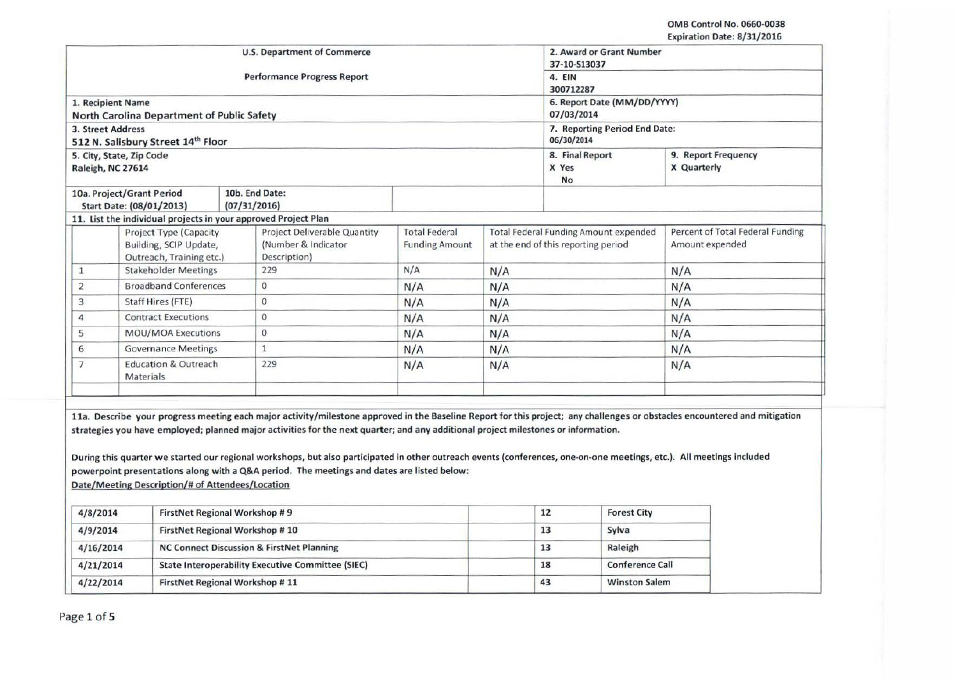| U.S. Department of Commerce                                                  |                                                                |  |                                                                                                                                                                                                                                                                     |                                               |             | 2. Award or Grant Number<br>37-10-513037                                            |                                                                                                                                                                            |  |
|------------------------------------------------------------------------------|----------------------------------------------------------------|--|---------------------------------------------------------------------------------------------------------------------------------------------------------------------------------------------------------------------------------------------------------------------|-----------------------------------------------|-------------|-------------------------------------------------------------------------------------|----------------------------------------------------------------------------------------------------------------------------------------------------------------------------|--|
|                                                                              |                                                                |  | <b>Performance Progress Report</b>                                                                                                                                                                                                                                  | 4. EIN<br>300712287                           |             |                                                                                     |                                                                                                                                                                            |  |
|                                                                              | 1. Recipient Name                                              |  |                                                                                                                                                                                                                                                                     | 6. Report Date (MM/DD/YYYY)                   |             |                                                                                     |                                                                                                                                                                            |  |
|                                                                              | North Carolina Department of Public Safety                     |  |                                                                                                                                                                                                                                                                     |                                               | 07/03/2014  |                                                                                     |                                                                                                                                                                            |  |
| 3. Street Address                                                            | 512 N. Salisbury Street 14th Floor                             |  |                                                                                                                                                                                                                                                                     |                                               |             | 7. Reporting Period End Date:<br>06/30/2014                                         |                                                                                                                                                                            |  |
|                                                                              | 5. City, State, Zip Code                                       |  |                                                                                                                                                                                                                                                                     |                                               |             | 8. Final Report<br>9. Report Frequency                                              |                                                                                                                                                                            |  |
|                                                                              | Raleigh, NC 27614                                              |  |                                                                                                                                                                                                                                                                     |                                               | X Yes<br>No | X Quarterly                                                                         |                                                                                                                                                                            |  |
|                                                                              | 10a. Project/Grant Period                                      |  | 10b. End Date:                                                                                                                                                                                                                                                      |                                               |             |                                                                                     |                                                                                                                                                                            |  |
|                                                                              | Start Date: (08/01/2013)                                       |  | (07/31/2016)                                                                                                                                                                                                                                                        |                                               |             |                                                                                     |                                                                                                                                                                            |  |
|                                                                              | 11. List the individual projects in your approved Project Plan |  |                                                                                                                                                                                                                                                                     |                                               |             |                                                                                     |                                                                                                                                                                            |  |
| Project Type (Capacity<br>Building, SCIP Update,<br>Outreach, Training etc.) |                                                                |  | Project Deliverable Quantity<br>(Number & Indicator<br>Description)                                                                                                                                                                                                 | <b>Total Federal</b><br><b>Funding Amount</b> |             | <b>Total Federal Funding Amount expended</b><br>at the end of this reporting period | Percent of Total Federal Funding<br>Amount expended                                                                                                                        |  |
| $\mathbf{1}$                                                                 | <b>Stakeholder Meetings</b>                                    |  | 229                                                                                                                                                                                                                                                                 | N/A                                           | N/A         |                                                                                     | N/A                                                                                                                                                                        |  |
| 2                                                                            | <b>Broadband Conferences</b>                                   |  | $\circ$                                                                                                                                                                                                                                                             | N/A                                           | N/A         |                                                                                     | N/A                                                                                                                                                                        |  |
| 3                                                                            | Staff Hires (FTE)                                              |  | $\mathbf{0}$                                                                                                                                                                                                                                                        | N/A                                           | N/A         |                                                                                     | N/A                                                                                                                                                                        |  |
| 4                                                                            | <b>Contract Executions</b>                                     |  | $\mathbf{0}$                                                                                                                                                                                                                                                        | N/A                                           | N/A         |                                                                                     | N/A                                                                                                                                                                        |  |
| 5                                                                            | MOU/MOA Executions                                             |  | $\theta$                                                                                                                                                                                                                                                            | N/A                                           | N/A         |                                                                                     | N/A                                                                                                                                                                        |  |
| 6                                                                            | <b>Governance Meetings</b>                                     |  | $\mathbf{1}$                                                                                                                                                                                                                                                        | N/A                                           | N/A         |                                                                                     | N/A                                                                                                                                                                        |  |
| $\overline{7}$<br><b>Education &amp; Outreach</b><br>Materials               |                                                                |  | 229                                                                                                                                                                                                                                                                 | N/A                                           | N/A         |                                                                                     | N/A                                                                                                                                                                        |  |
|                                                                              |                                                                |  |                                                                                                                                                                                                                                                                     |                                               |             |                                                                                     |                                                                                                                                                                            |  |
|                                                                              |                                                                |  | strategies you have employed; planned major activities for the next quarter; and any additional project milestones or information.                                                                                                                                  |                                               |             |                                                                                     | 11a. Describe your progress meeting each major activity/milestone approved in the Baseline Report for this project; any challenges or obstacles encountered and mitigation |  |
|                                                                              |                                                                |  | During this quarter we started our regional workshops, but also participated in other outreach events (conferences, one-on-one meetings, etc.). All meetings included<br>powerpoint presentations along with a Q&A period. The meetings and dates are listed below: |                                               |             |                                                                                     |                                                                                                                                                                            |  |
|                                                                              | Date/Meeting Description/# of Attendees/Location               |  |                                                                                                                                                                                                                                                                     |                                               |             |                                                                                     |                                                                                                                                                                            |  |
| 4/8/2014                                                                     | FirstNet Regional Workshop #9                                  |  |                                                                                                                                                                                                                                                                     |                                               |             | 12<br><b>Forest City</b>                                                            |                                                                                                                                                                            |  |
| 4/9/2014                                                                     | FirstNet Regional Workshop #10                                 |  |                                                                                                                                                                                                                                                                     |                                               |             | 13<br>Sylva                                                                         |                                                                                                                                                                            |  |
| 4/16/2014                                                                    |                                                                |  | NC Connect Discussion & FirstNet Planning                                                                                                                                                                                                                           |                                               |             | 13<br>Raleigh                                                                       |                                                                                                                                                                            |  |
| 4/21/2014                                                                    |                                                                |  | <b>State Interoperability Executive Committee (SIEC)</b>                                                                                                                                                                                                            |                                               |             | <b>Conference Call</b><br>18                                                        |                                                                                                                                                                            |  |
| 4/22/2014                                                                    | FirstNet Regional Workshop #11                                 |  |                                                                                                                                                                                                                                                                     |                                               |             | 43<br><b>Winston Salem</b>                                                          |                                                                                                                                                                            |  |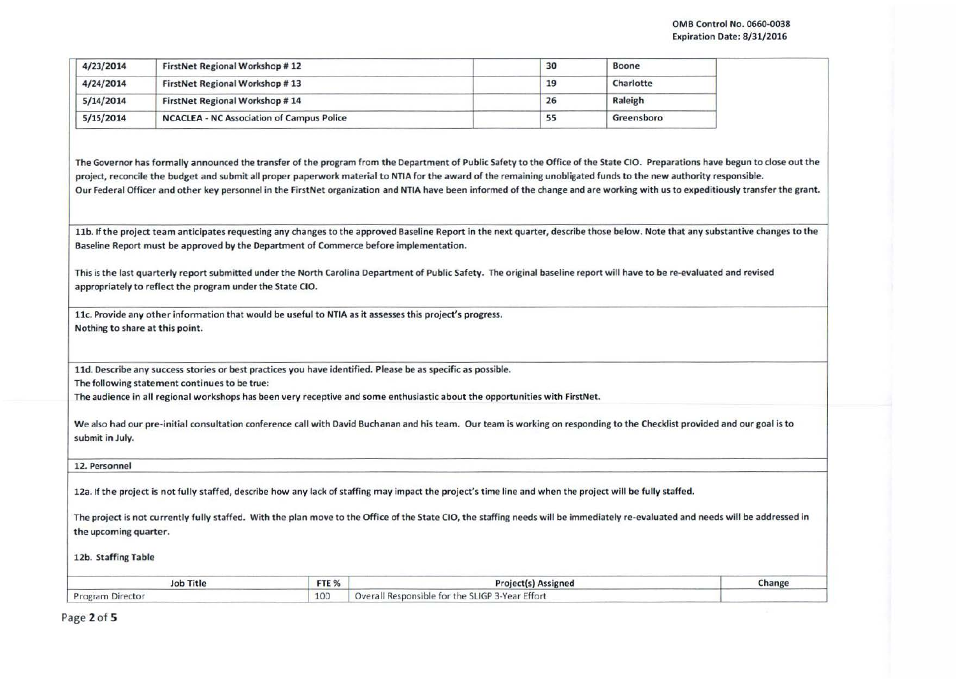:

I I

| 4/23/2014 | FirstNet Regional Workshop #12                   | 30 | Boone      |  |
|-----------|--------------------------------------------------|----|------------|--|
| 4/24/2014 | FirstNet Regional Workshop #13                   | 19 | Charlotte  |  |
| 5/14/2014 | FirstNet Regional Workshop #14                   | 26 | Raleigh    |  |
| 5/15/2014 | <b>NCACLEA - NC Association of Campus Police</b> | 55 | Greensboro |  |

The Governor has formally announced the transfer of the program from the Department of Public Safety to the Office of the State CIO. Preparations have begun to close out the project, reconcile the budget and submit all proper paperwork material to NTIA for the award of the remaining unobligated funds to the new authority responsible. Our Federal Officer and other key personnel in the FirstNet organization and NTIA have been informed of the change and are working with us to expeditiously transfer the grant.

11b. If the project team anticipates requesting any changes to the approved Baseline Report in the next quarter, describe those below. Note that any substantive changes to the Baseline Report must be approved by the Department of Commerce before implementation.

This is the last quarterly report submitted under the North Carolina Department of Public Safety. The original baseline report will have to be re-evaluated and revised appropriately to reflect the program under the State CIO.

llc. Provide any other information that would be useful to NTIA as it assesses this project's progress. Nothing to share at this point.

lld. Describe any success stories or best practices you have identified. Please be as specific as possible.

The following statement continues to be true:

The audience in all regional workshops has been very receptive and some enthusiastic about the opportunities with FirstNet.

| We also had our pre-initial consultation conference call with David Buchanan and his team. Our team is working on responding to the Checklist provided and our goal is to |  |
|---------------------------------------------------------------------------------------------------------------------------------------------------------------------------|--|
| submit in July.                                                                                                                                                           |  |

12. Personnel

12a. If the project is not fully staffed, describe how any lack of staffing may impact the project's time line and when the project will be fully staffed.

The project is not currently fully staffed. With the plan move to the Office of the State CIO, the staffing needs will be immediately re-evaluated and needs will be addressed in the upcoming quarter.

12b. Staffing Table

| <b>Job Title</b> | FTE %           | <b>Project(s) Assigned</b>                      | Change |
|------------------|-----------------|-------------------------------------------------|--------|
| Program Director | 10 <sup>c</sup> | Overall Responsible for the SLIGP 3-Year Effort |        |

Page 2of 5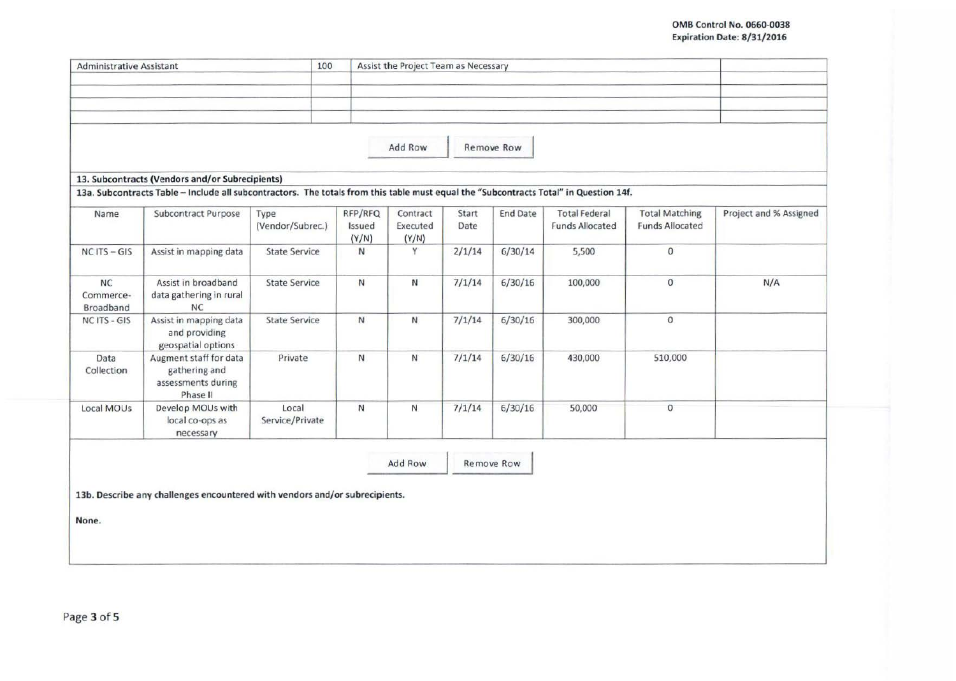## OMB Control No. 0660-0038 Expiration Date: 8/31/2016

| <b>Administrative Assistant</b>     |                                                                                                                                       |                          | 100                        | Assist the Project Team as Necessary |               |                   |                                                |                                                 |                        |
|-------------------------------------|---------------------------------------------------------------------------------------------------------------------------------------|--------------------------|----------------------------|--------------------------------------|---------------|-------------------|------------------------------------------------|-------------------------------------------------|------------------------|
|                                     |                                                                                                                                       |                          |                            |                                      |               |                   |                                                |                                                 |                        |
|                                     |                                                                                                                                       |                          |                            |                                      |               |                   |                                                |                                                 |                        |
|                                     |                                                                                                                                       |                          |                            |                                      |               |                   |                                                |                                                 |                        |
|                                     |                                                                                                                                       |                          |                            |                                      |               |                   |                                                |                                                 |                        |
|                                     |                                                                                                                                       |                          |                            | Add Row                              |               | <b>Remove Row</b> |                                                |                                                 |                        |
|                                     |                                                                                                                                       |                          |                            |                                      |               |                   |                                                |                                                 |                        |
|                                     | 13. Subcontracts (Vendors and/or Subrecipients)                                                                                       |                          |                            |                                      |               |                   |                                                |                                                 |                        |
|                                     | 13a. Subcontracts Table - Include all subcontractors. The totals from this table must equal the "Subcontracts Total" in Question 14f. |                          |                            |                                      |               |                   |                                                |                                                 |                        |
| Name                                | Subcontract Purpose                                                                                                                   | Type<br>(Vendor/Subrec.) | RFP/RFQ<br>Issued<br>(Y/N) | Contract<br>Executed<br>(Y/N)        | Start<br>Date | <b>End Date</b>   | <b>Total Federal</b><br><b>Funds Allocated</b> | <b>Total Matching</b><br><b>Funds Allocated</b> | Project and % Assigned |
| $NC$ ITS $- GIS$                    | Assist in mapping data                                                                                                                | <b>State Service</b>     | N                          | Y                                    | 2/1/14        | 6/30/14           | 5,500                                          | $\mathbf{0}$                                    |                        |
| <b>NC</b><br>Commerce-<br>Broadband | Assist in broadband<br>data gathering in rural<br><b>NC</b>                                                                           | <b>State Service</b>     | $\overline{N}$             | N                                    | 7/1/14        | 6/30/16           | 100,000                                        | $\mathbf{0}$                                    | N/A                    |
| NC ITS - GIS                        | Assist in mapping data<br>and providing<br>geospatial options                                                                         | <b>State Service</b>     | N                          | И                                    | 7/1/14        | 6/30/16           | 300,000                                        | $\mathbf{0}$                                    |                        |
| Data<br>Collection                  | Augment staff for data<br>gathering and<br>assessments during<br>Phase II                                                             | Private                  | N                          | N                                    | 7/1/14        | 6/30/16           | 430,000                                        | 510,000                                         |                        |
| Local MOUs                          | Develop MOUs with<br>local co-ops as<br>necessary                                                                                     | Local<br>Service/Private | Ν                          | $\mathsf{N}$                         | 7/1/14        | 6/30/16           | 50,000                                         | $\circ$                                         |                        |
|                                     |                                                                                                                                       |                          |                            |                                      |               |                   |                                                |                                                 |                        |
|                                     |                                                                                                                                       |                          |                            | Add Row                              |               | Remove Row        |                                                |                                                 |                        |
|                                     |                                                                                                                                       |                          |                            |                                      |               |                   |                                                |                                                 |                        |
|                                     | 13b. Describe any challenges encountered with vendors and/or subrecipients.                                                           |                          |                            |                                      |               |                   |                                                |                                                 |                        |
| None.                               |                                                                                                                                       |                          |                            |                                      |               |                   |                                                |                                                 |                        |
|                                     |                                                                                                                                       |                          |                            |                                      |               |                   |                                                |                                                 |                        |
|                                     |                                                                                                                                       |                          |                            |                                      |               |                   |                                                |                                                 |                        |
|                                     |                                                                                                                                       |                          |                            |                                      |               |                   |                                                |                                                 |                        |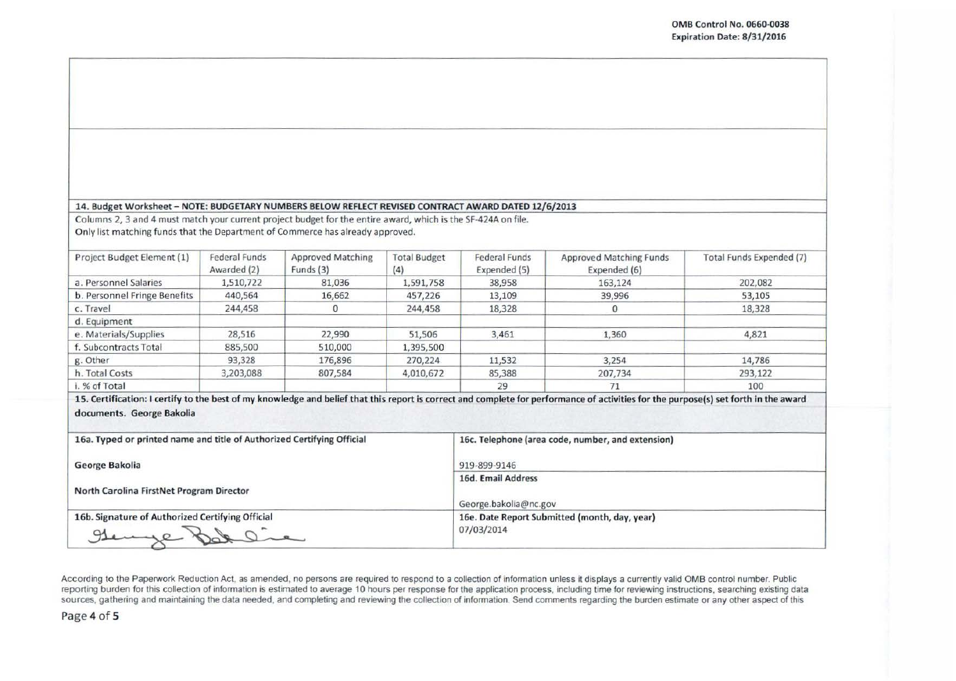## 14. Budget Worksheet- NOTE: BUDGETARY NUMBERS BELOW REFLECT REVISED CONTRACT AWARD DATED 12/6/2013

Columns 2, 3 and 4 must match your current project budget for the entire award, which is the SF-424A on file. Only list matching funds that the Department of Commerce has already approved.

| Project Budget Element (1)   | <b>Federal Funds</b><br>Awarded (2) | <b>Approved Matching</b><br>Funds (3) | <b>Total Budget</b><br>(4) | <b>Federal Funds</b><br>Expended (5) | Approved Matching Funds<br>Expended (6) | Total Funds Expended (7) |
|------------------------------|-------------------------------------|---------------------------------------|----------------------------|--------------------------------------|-----------------------------------------|--------------------------|
| a. Personnel Salaries        | 1,510,722                           | 81,036                                | 1,591,758                  | 38,958                               | 163,124                                 | 202,082                  |
| b. Personnel Fringe Benefits | 440,564                             | 16,662                                | 457,226                    | 13,109                               | 39,996                                  | 53,105                   |
| c. Travel                    | 244,458                             | 0                                     | 244,458                    | 18,328                               |                                         | 18,328                   |
| d. Equipment                 |                                     |                                       |                            |                                      |                                         |                          |
| e. Materials/Supplies        | 28,516                              | 22,990                                | 51,506                     | 3,461                                | 1,360                                   | 4,821                    |
| f. Subcontracts Total        | 885,500                             | 510,000                               | 1,395,500                  |                                      |                                         |                          |
| g. Other                     | 93,328                              | 176,896                               | 270,224                    | 11,532                               | 3,254                                   | 14,786                   |
| h. Total Costs               | 3,203,088                           | 807,584                               | 4,010,672                  | 85,388                               | 207,734                                 | 293,122                  |
| i. % of Total                |                                     |                                       |                            | 29                                   | 71                                      | 100                      |

15. Certification: I certify to the best of my knowledge and belief that thrs report is correct and complete for performance of activities for the purpose(s} set forth in the award documents. George Bakolia

| 16a. Typed or printed name and title of Authorized Certifying Official | 16c. Telephone (area code, number, and extension)           |  |
|------------------------------------------------------------------------|-------------------------------------------------------------|--|
| George Bakolia                                                         | 919-899-9146                                                |  |
| North Carolina FirstNet Program Director                               | 16d. Email Address<br>George.bakolia@nc.gov                 |  |
| 16b. Signature of Authorized Certifying Official<br>gemme              | 16e. Date Report Submitted (month, day, year)<br>07/03/2014 |  |

According to the Paperwork Reduction Act. as amended, no persons are required to respond to a collection of information unless it displays a currently valid OMB control number. Public reporting burden for this collection of information is estimated to average 10 hours per response for the application process, including time for reviewing instructions, searching existing data sources, gathering and maintaining the data needed, and completing and reviewing the collection of information. Send comments regarding the burden estimate or any other aspect of this